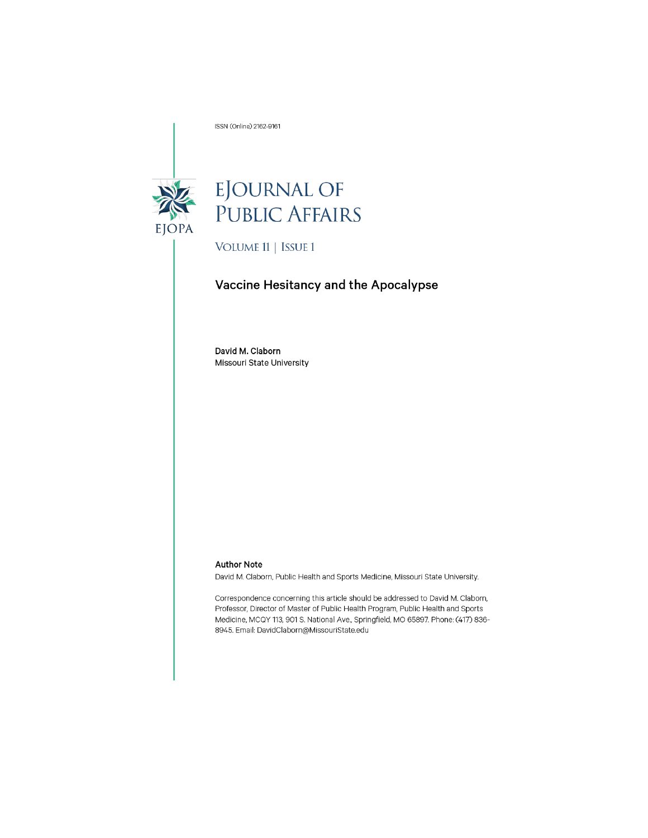ISSN (Online) 2162-9161



# EJOURNAL OF<br>PUBLIC AFFAIRS

VOLUME 11 | ISSUE 1

## Vaccine Hesitancy and the Apocalypse

David M. Claborn Missouri State University

#### **Author Note**

David M. Claborn, Public Health and Sports Medicine, Missouri State University.

Correspondence concerning this article should be addressed to David M. Claborn, Professor, Director of Master of Public Health Program, Public Health and Sports Medicine, MCQY 113, 901 S. National Ave., Springfield, MO 65897. Phone: (417) 836-8945. Email: DavidClaborn@MissouriState.edu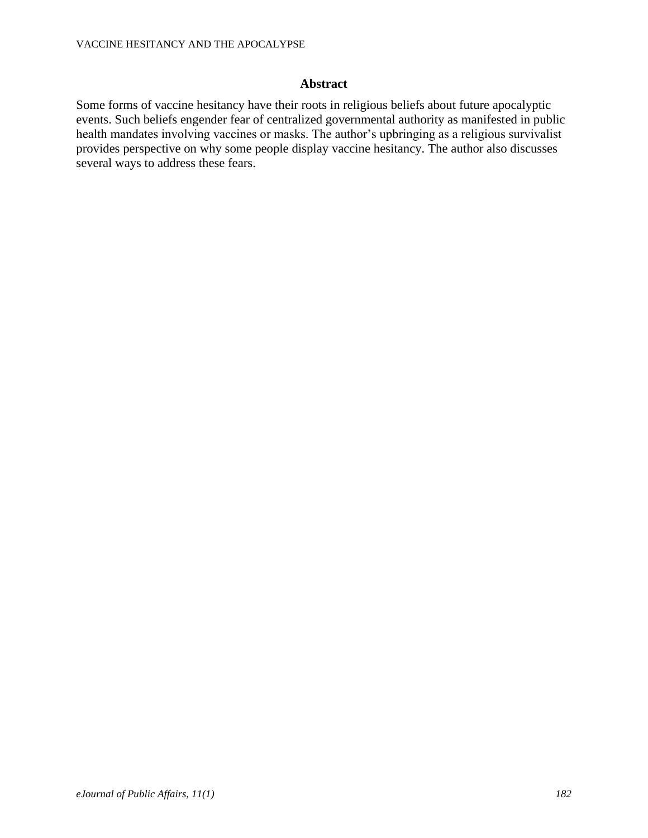## **Abstract**

Some forms of vaccine hesitancy have their roots in religious beliefs about future apocalyptic events. Such beliefs engender fear of centralized governmental authority as manifested in public health mandates involving vaccines or masks. The author's upbringing as a religious survivalist provides perspective on why some people display vaccine hesitancy. The author also discusses several ways to address these fears.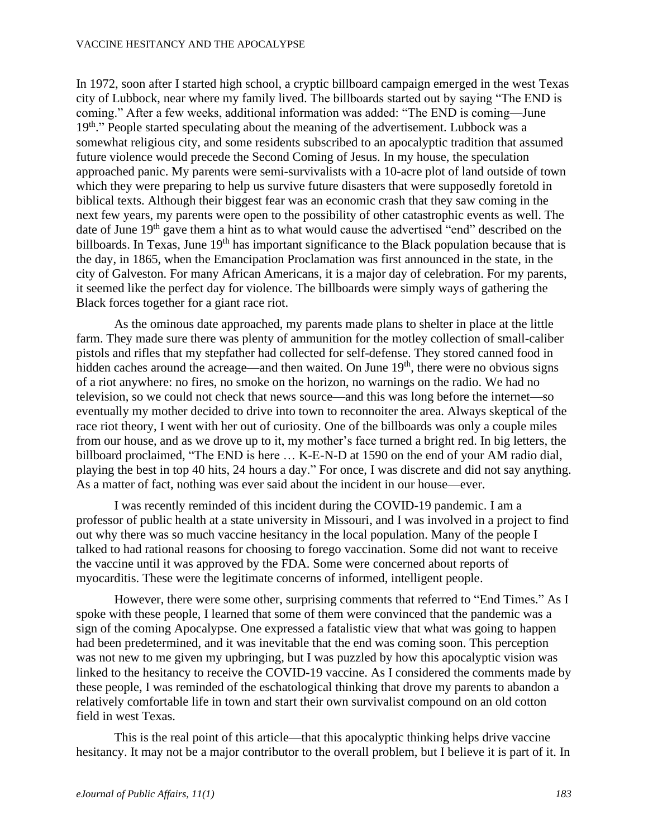#### VACCINE HESITANCY AND THE APOCALYPSE

In 1972, soon after I started high school, a cryptic billboard campaign emerged in the west Texas city of Lubbock, near where my family lived. The billboards started out by saying "The END is coming." After a few weeks, additional information was added: "The END is coming—June 19<sup>th</sup>." People started speculating about the meaning of the advertisement. Lubbock was a somewhat religious city, and some residents subscribed to an apocalyptic tradition that assumed future violence would precede the Second Coming of Jesus. In my house, the speculation approached panic. My parents were semi-survivalists with a 10-acre plot of land outside of town which they were preparing to help us survive future disasters that were supposedly foretold in biblical texts. Although their biggest fear was an economic crash that they saw coming in the next few years, my parents were open to the possibility of other catastrophic events as well. The date of June 19<sup>th</sup> gave them a hint as to what would cause the advertised "end" described on the billboards. In Texas, June  $19<sup>th</sup>$  has important significance to the Black population because that is the day, in 1865, when the Emancipation Proclamation was first announced in the state, in the city of Galveston. For many African Americans, it is a major day of celebration. For my parents, it seemed like the perfect day for violence. The billboards were simply ways of gathering the Black forces together for a giant race riot.

As the ominous date approached, my parents made plans to shelter in place at the little farm. They made sure there was plenty of ammunition for the motley collection of small-caliber pistols and rifles that my stepfather had collected for self-defense. They stored canned food in hidden caches around the acreage—and then waited. On June  $19<sup>th</sup>$ , there were no obvious signs of a riot anywhere: no fires, no smoke on the horizon, no warnings on the radio. We had no television, so we could not check that news source—and this was long before the internet—so eventually my mother decided to drive into town to reconnoiter the area. Always skeptical of the race riot theory, I went with her out of curiosity. One of the billboards was only a couple miles from our house, and as we drove up to it, my mother's face turned a bright red. In big letters, the billboard proclaimed, "The END is here … K-E-N-D at 1590 on the end of your AM radio dial, playing the best in top 40 hits, 24 hours a day." For once, I was discrete and did not say anything. As a matter of fact, nothing was ever said about the incident in our house—ever.

I was recently reminded of this incident during the COVID-19 pandemic. I am a professor of public health at a state university in Missouri, and I was involved in a project to find out why there was so much vaccine hesitancy in the local population. Many of the people I talked to had rational reasons for choosing to forego vaccination. Some did not want to receive the vaccine until it was approved by the FDA. Some were concerned about reports of myocarditis. These were the legitimate concerns of informed, intelligent people.

However, there were some other, surprising comments that referred to "End Times." As I spoke with these people, I learned that some of them were convinced that the pandemic was a sign of the coming Apocalypse. One expressed a fatalistic view that what was going to happen had been predetermined, and it was inevitable that the end was coming soon. This perception was not new to me given my upbringing, but I was puzzled by how this apocalyptic vision was linked to the hesitancy to receive the COVID-19 vaccine. As I considered the comments made by these people, I was reminded of the eschatological thinking that drove my parents to abandon a relatively comfortable life in town and start their own survivalist compound on an old cotton field in west Texas.

This is the real point of this article—that this apocalyptic thinking helps drive vaccine hesitancy. It may not be a major contributor to the overall problem, but I believe it is part of it. In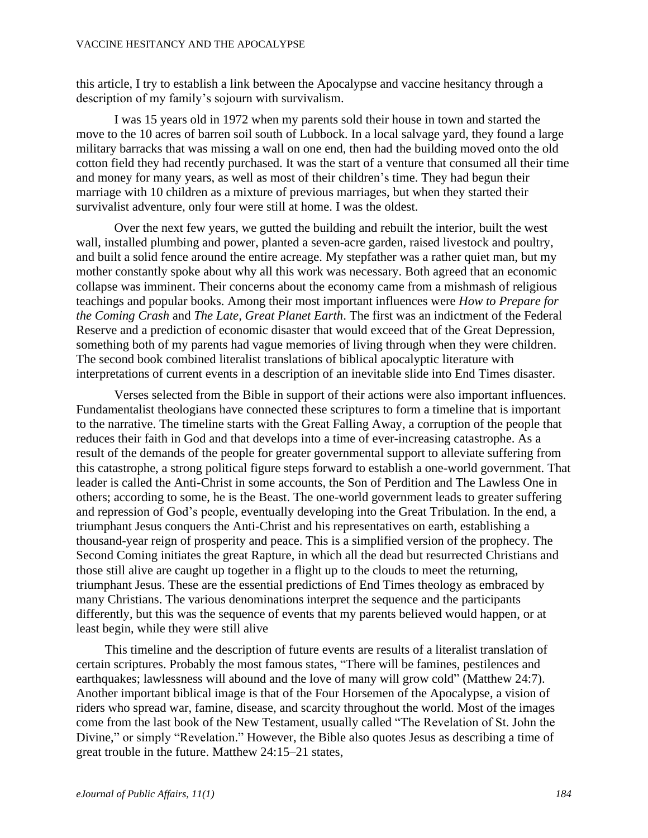this article, I try to establish a link between the Apocalypse and vaccine hesitancy through a description of my family's sojourn with survivalism.

I was 15 years old in 1972 when my parents sold their house in town and started the move to the 10 acres of barren soil south of Lubbock. In a local salvage yard, they found a large military barracks that was missing a wall on one end, then had the building moved onto the old cotton field they had recently purchased. It was the start of a venture that consumed all their time and money for many years, as well as most of their children's time. They had begun their marriage with 10 children as a mixture of previous marriages, but when they started their survivalist adventure, only four were still at home. I was the oldest.

Over the next few years, we gutted the building and rebuilt the interior, built the west wall, installed plumbing and power, planted a seven-acre garden, raised livestock and poultry, and built a solid fence around the entire acreage. My stepfather was a rather quiet man, but my mother constantly spoke about why all this work was necessary. Both agreed that an economic collapse was imminent. Their concerns about the economy came from a mishmash of religious teachings and popular books. Among their most important influences were *How to Prepare for the Coming Crash* and *The Late, Great Planet Earth*. The first was an indictment of the Federal Reserve and a prediction of economic disaster that would exceed that of the Great Depression, something both of my parents had vague memories of living through when they were children. The second book combined literalist translations of biblical apocalyptic literature with interpretations of current events in a description of an inevitable slide into End Times disaster.

Verses selected from the Bible in support of their actions were also important influences. Fundamentalist theologians have connected these scriptures to form a timeline that is important to the narrative. The timeline starts with the Great Falling Away, a corruption of the people that reduces their faith in God and that develops into a time of ever-increasing catastrophe. As a result of the demands of the people for greater governmental support to alleviate suffering from this catastrophe, a strong political figure steps forward to establish a one-world government. That leader is called the Anti-Christ in some accounts, the Son of Perdition and The Lawless One in others; according to some, he is the Beast. The one-world government leads to greater suffering and repression of God's people, eventually developing into the Great Tribulation. In the end, a triumphant Jesus conquers the Anti-Christ and his representatives on earth, establishing a thousand-year reign of prosperity and peace. This is a simplified version of the prophecy. The Second Coming initiates the great Rapture, in which all the dead but resurrected Christians and those still alive are caught up together in a flight up to the clouds to meet the returning, triumphant Jesus. These are the essential predictions of End Times theology as embraced by many Christians. The various denominations interpret the sequence and the participants differently, but this was the sequence of events that my parents believed would happen, or at least begin, while they were still alive

This timeline and the description of future events are results of a literalist translation of certain scriptures. Probably the most famous states, "There will be famines, pestilences and earthquakes; lawlessness will abound and the love of many will grow cold" (Matthew 24:7). Another important biblical image is that of the Four Horsemen of the Apocalypse, a vision of riders who spread war, famine, disease, and scarcity throughout the world. Most of the images come from the last book of the New Testament, usually called "The Revelation of St. John the Divine," or simply "Revelation." However, the Bible also quotes Jesus as describing a time of great trouble in the future. Matthew 24:15–21 states,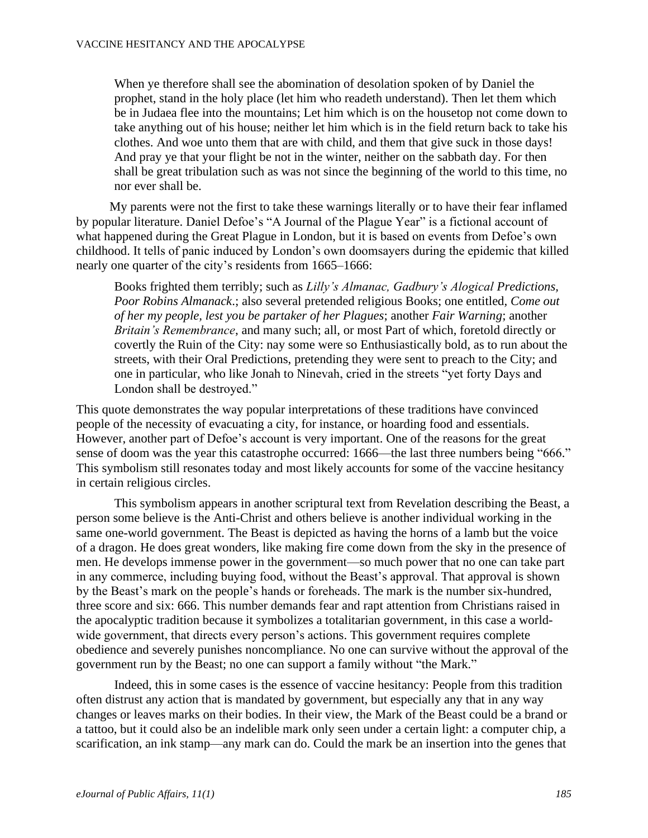When ye therefore shall see the abomination of desolation spoken of by Daniel the prophet, stand in the holy place (let him who readeth understand). Then let them which be in Judaea flee into the mountains; Let him which is on the housetop not come down to take anything out of his house; neither let him which is in the field return back to take his clothes. And woe unto them that are with child, and them that give suck in those days! And pray ye that your flight be not in the winter, neither on the sabbath day. For then shall be great tribulation such as was not since the beginning of the world to this time, no nor ever shall be.

My parents were not the first to take these warnings literally or to have their fear inflamed by popular literature. Daniel Defoe's "A Journal of the Plague Year" is a fictional account of what happened during the Great Plague in London, but it is based on events from Defoe's own childhood. It tells of panic induced by London's own doomsayers during the epidemic that killed nearly one quarter of the city's residents from 1665–1666:

Books frighted them terribly; such as *Lilly's Almanac, Gadbury's Alogical Predictions, Poor Robins Almanack*.; also several pretended religious Books; one entitled*, Come out of her my people, lest you be partaker of her Plagues*; another *Fair Warning*; another *Britain's Remembrance*, and many such; all, or most Part of which, foretold directly or covertly the Ruin of the City: nay some were so Enthusiastically bold, as to run about the streets, with their Oral Predictions, pretending they were sent to preach to the City; and one in particular, who like Jonah to Ninevah, cried in the streets "yet forty Days and London shall be destroyed."

This quote demonstrates the way popular interpretations of these traditions have convinced people of the necessity of evacuating a city, for instance, or hoarding food and essentials. However, another part of Defoe's account is very important. One of the reasons for the great sense of doom was the year this catastrophe occurred: 1666—the last three numbers being "666." This symbolism still resonates today and most likely accounts for some of the vaccine hesitancy in certain religious circles.

This symbolism appears in another scriptural text from Revelation describing the Beast, a person some believe is the Anti-Christ and others believe is another individual working in the same one-world government. The Beast is depicted as having the horns of a lamb but the voice of a dragon. He does great wonders, like making fire come down from the sky in the presence of men. He develops immense power in the government—so much power that no one can take part in any commerce, including buying food, without the Beast's approval. That approval is shown by the Beast's mark on the people's hands or foreheads. The mark is the number six-hundred, three score and six: 666. This number demands fear and rapt attention from Christians raised in the apocalyptic tradition because it symbolizes a totalitarian government, in this case a worldwide government, that directs every person's actions. This government requires complete obedience and severely punishes noncompliance. No one can survive without the approval of the government run by the Beast; no one can support a family without "the Mark."

Indeed, this in some cases is the essence of vaccine hesitancy: People from this tradition often distrust any action that is mandated by government, but especially any that in any way changes or leaves marks on their bodies. In their view, the Mark of the Beast could be a brand or a tattoo, but it could also be an indelible mark only seen under a certain light: a computer chip, a scarification, an ink stamp—any mark can do. Could the mark be an insertion into the genes that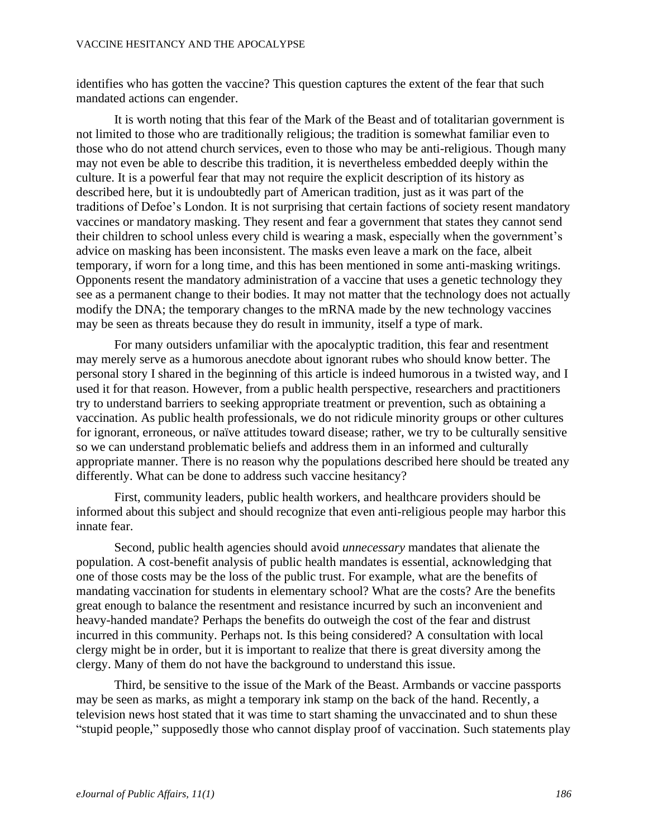#### VACCINE HESITANCY AND THE APOCALYPSE

identifies who has gotten the vaccine? This question captures the extent of the fear that such mandated actions can engender.

It is worth noting that this fear of the Mark of the Beast and of totalitarian government is not limited to those who are traditionally religious; the tradition is somewhat familiar even to those who do not attend church services, even to those who may be anti-religious. Though many may not even be able to describe this tradition, it is nevertheless embedded deeply within the culture. It is a powerful fear that may not require the explicit description of its history as described here, but it is undoubtedly part of American tradition, just as it was part of the traditions of Defoe's London. It is not surprising that certain factions of society resent mandatory vaccines or mandatory masking. They resent and fear a government that states they cannot send their children to school unless every child is wearing a mask, especially when the government's advice on masking has been inconsistent. The masks even leave a mark on the face, albeit temporary, if worn for a long time, and this has been mentioned in some anti-masking writings. Opponents resent the mandatory administration of a vaccine that uses a genetic technology they see as a permanent change to their bodies. It may not matter that the technology does not actually modify the DNA; the temporary changes to the mRNA made by the new technology vaccines may be seen as threats because they do result in immunity, itself a type of mark.

For many outsiders unfamiliar with the apocalyptic tradition, this fear and resentment may merely serve as a humorous anecdote about ignorant rubes who should know better. The personal story I shared in the beginning of this article is indeed humorous in a twisted way, and I used it for that reason. However, from a public health perspective, researchers and practitioners try to understand barriers to seeking appropriate treatment or prevention, such as obtaining a vaccination. As public health professionals, we do not ridicule minority groups or other cultures for ignorant, erroneous, or naïve attitudes toward disease; rather, we try to be culturally sensitive so we can understand problematic beliefs and address them in an informed and culturally appropriate manner. There is no reason why the populations described here should be treated any differently. What can be done to address such vaccine hesitancy?

First, community leaders, public health workers, and healthcare providers should be informed about this subject and should recognize that even anti-religious people may harbor this innate fear.

Second, public health agencies should avoid *unnecessary* mandates that alienate the population. A cost-benefit analysis of public health mandates is essential, acknowledging that one of those costs may be the loss of the public trust. For example, what are the benefits of mandating vaccination for students in elementary school? What are the costs? Are the benefits great enough to balance the resentment and resistance incurred by such an inconvenient and heavy-handed mandate? Perhaps the benefits do outweigh the cost of the fear and distrust incurred in this community. Perhaps not. Is this being considered? A consultation with local clergy might be in order, but it is important to realize that there is great diversity among the clergy. Many of them do not have the background to understand this issue.

Third, be sensitive to the issue of the Mark of the Beast. Armbands or vaccine passports may be seen as marks, as might a temporary ink stamp on the back of the hand. Recently, a television news host stated that it was time to start shaming the unvaccinated and to shun these "stupid people," supposedly those who cannot display proof of vaccination. Such statements play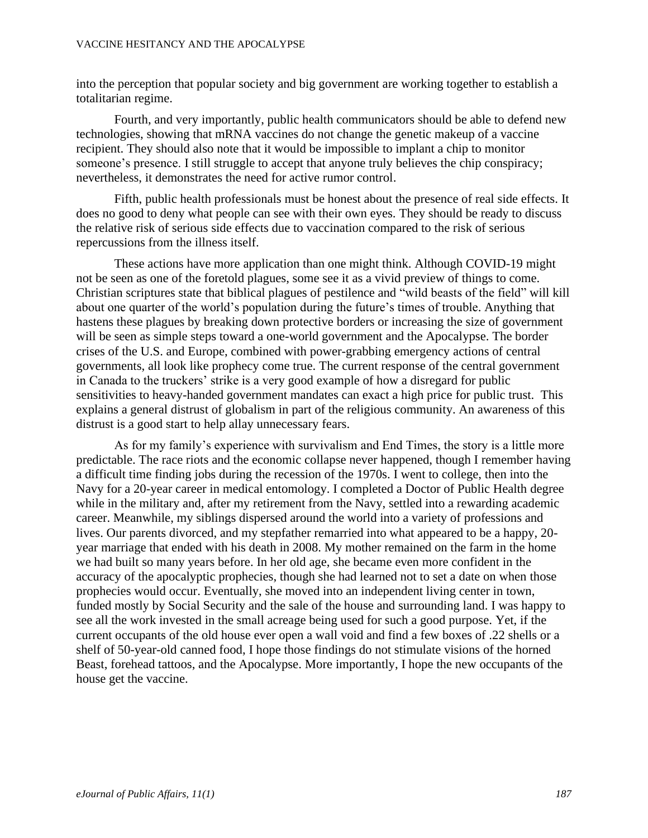into the perception that popular society and big government are working together to establish a totalitarian regime.

Fourth, and very importantly, public health communicators should be able to defend new technologies, showing that mRNA vaccines do not change the genetic makeup of a vaccine recipient. They should also note that it would be impossible to implant a chip to monitor someone's presence. I still struggle to accept that anyone truly believes the chip conspiracy; nevertheless, it demonstrates the need for active rumor control.

Fifth, public health professionals must be honest about the presence of real side effects. It does no good to deny what people can see with their own eyes. They should be ready to discuss the relative risk of serious side effects due to vaccination compared to the risk of serious repercussions from the illness itself.

These actions have more application than one might think. Although COVID-19 might not be seen as one of the foretold plagues, some see it as a vivid preview of things to come. Christian scriptures state that biblical plagues of pestilence and "wild beasts of the field" will kill about one quarter of the world's population during the future's times of trouble. Anything that hastens these plagues by breaking down protective borders or increasing the size of government will be seen as simple steps toward a one-world government and the Apocalypse. The border crises of the U.S. and Europe, combined with power-grabbing emergency actions of central governments, all look like prophecy come true. The current response of the central government in Canada to the truckers' strike is a very good example of how a disregard for public sensitivities to heavy-handed government mandates can exact a high price for public trust. This explains a general distrust of globalism in part of the religious community. An awareness of this distrust is a good start to help allay unnecessary fears.

As for my family's experience with survivalism and End Times, the story is a little more predictable. The race riots and the economic collapse never happened, though I remember having a difficult time finding jobs during the recession of the 1970s. I went to college, then into the Navy for a 20-year career in medical entomology. I completed a Doctor of Public Health degree while in the military and, after my retirement from the Navy, settled into a rewarding academic career. Meanwhile, my siblings dispersed around the world into a variety of professions and lives. Our parents divorced, and my stepfather remarried into what appeared to be a happy, 20 year marriage that ended with his death in 2008. My mother remained on the farm in the home we had built so many years before. In her old age, she became even more confident in the accuracy of the apocalyptic prophecies, though she had learned not to set a date on when those prophecies would occur. Eventually, she moved into an independent living center in town, funded mostly by Social Security and the sale of the house and surrounding land. I was happy to see all the work invested in the small acreage being used for such a good purpose. Yet, if the current occupants of the old house ever open a wall void and find a few boxes of .22 shells or a shelf of 50-year-old canned food, I hope those findings do not stimulate visions of the horned Beast, forehead tattoos, and the Apocalypse. More importantly, I hope the new occupants of the house get the vaccine.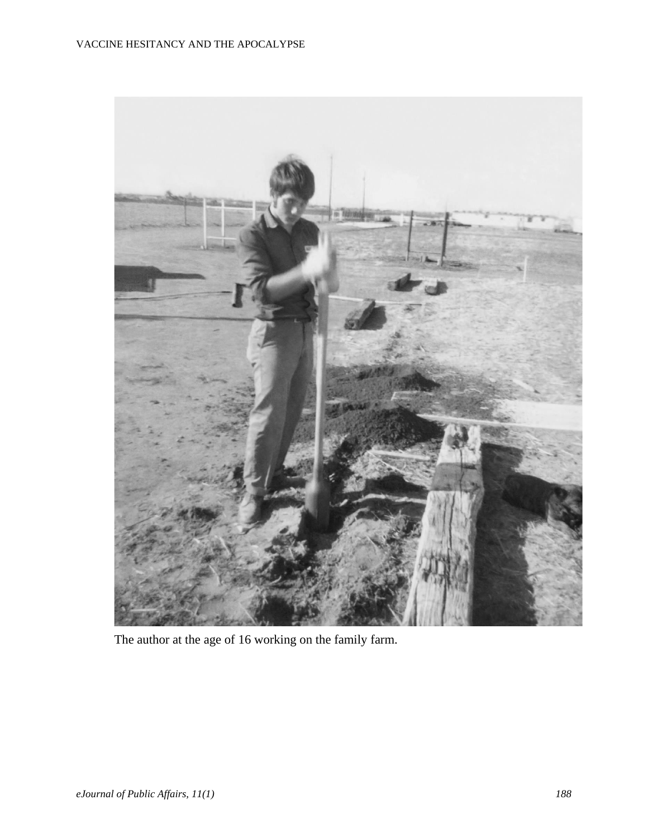

The author at the age of 16 working on the family farm.